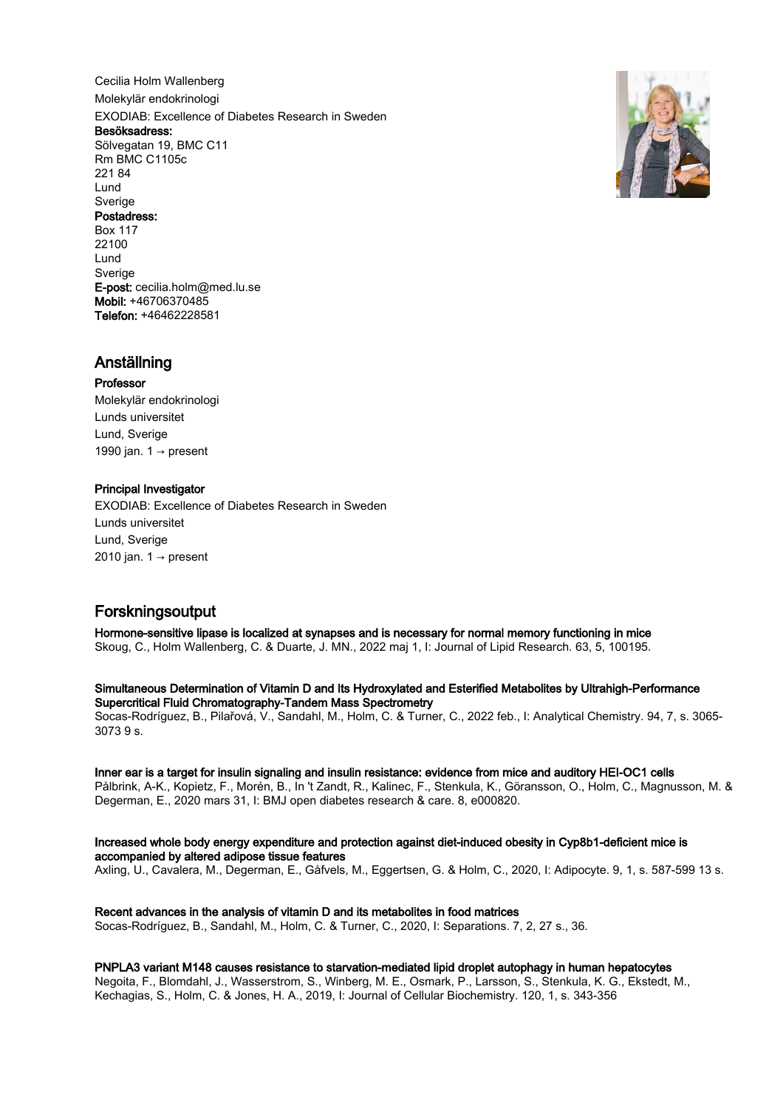Cecilia Holm Wallenberg Molekylär endokrinologi EXODIAB: Excellence of Diabetes Research in Sweden Besöksadress: Sölvegatan 19, BMC C11 Rm BMC C1105c 221 84 Lund Sverige Postadress: Box 117 22100 Lund **Sverige** E-post: cecilia.holm@med.lu.se Mobil: +46706370485



# Anställning

# Professor

Molekylär endokrinologi Lunds universitet Lund, Sverige 1990 jan. 1 → present

Telefon: +46462228581

# Principal Investigator

EXODIAB: Excellence of Diabetes Research in Sweden Lunds universitet Lund, Sverige 2010 jan.  $1 \rightarrow$  present

# Forskningsoutput

Hormone-sensitive lipase is localized at synapses and is necessary for normal memory functioning in mice Skoug, C., Holm Wallenberg, C. & Duarte, J. MN., 2022 maj 1, I: Journal of Lipid Research. 63, 5, 100195.

Simultaneous Determination of Vitamin D and Its Hydroxylated and Esterified Metabolites by Ultrahigh-Performance Supercritical Fluid Chromatography-Tandem Mass Spectrometry

Socas-Rodríguez, B., Pilařová, V., Sandahl, M., Holm, C. & Turner, C., 2022 feb., I: Analytical Chemistry. 94, 7, s. 3065- 3073 9 s.

# Inner ear is a target for insulin signaling and insulin resistance: evidence from mice and auditory HEI-OC1 cells

Pålbrink, A-K., Kopietz, F., Morén, B., In 't Zandt, R., Kalinec, F., Stenkula, K., Göransson, O., Holm, C., Magnusson, M. & Degerman, E., 2020 mars 31, I: BMJ open diabetes research & care. 8, e000820.

# Increased whole body energy expenditure and protection against diet-induced obesity in Cyp8b1-deficient mice is accompanied by altered adipose tissue features

Axling, U., Cavalera, M., Degerman, E., Gåfvels, M., Eggertsen, G. & Holm, C., 2020, I: Adipocyte. 9, 1, s. 587-599 13 s.

# Recent advances in the analysis of vitamin D and its metabolites in food matrices

Socas-Rodríguez, B., Sandahl, M., Holm, C. & Turner, C., 2020, I: Separations. 7, 2, 27 s., 36.

# PNPLA3 variant M148 causes resistance to starvation-mediated lipid droplet autophagy in human hepatocytes

Negoita, F., Blomdahl, J., Wasserstrom, S., Winberg, M. E., Osmark, P., Larsson, S., Stenkula, K. G., Ekstedt, M., Kechagias, S., Holm, C. & Jones, H. A., 2019, I: Journal of Cellular Biochemistry. 120, 1, s. 343-356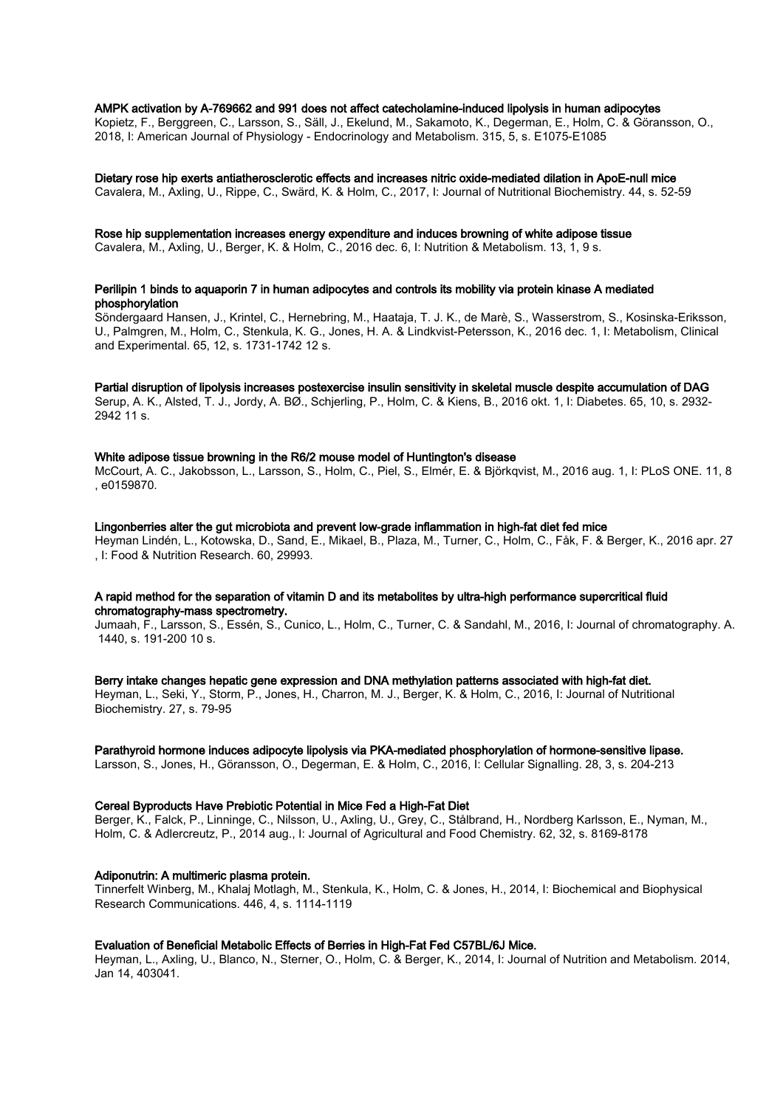## AMPK activation by A-769662 and 991 does not affect catecholamine-induced lipolysis in human adipocytes

Kopietz, F., Berggreen, C., Larsson, S., Säll, J., Ekelund, M., Sakamoto, K., Degerman, E., Holm, C. & Göransson, O., 2018, I: American Journal of Physiology - Endocrinology and Metabolism. 315, 5, s. E1075-E1085

#### Dietary rose hip exerts antiatherosclerotic effects and increases nitric oxide-mediated dilation in ApoE-null mice Cavalera, M., Axling, U., Rippe, C., Swärd, K. & Holm, C., 2017, I: Journal of Nutritional Biochemistry. 44, s. 52-59

# Rose hip supplementation increases energy expenditure and induces browning of white adipose tissue

Cavalera, M., Axling, U., Berger, K. & Holm, C., 2016 dec. 6, I: Nutrition & Metabolism. 13, 1, 9 s.

# Perilipin 1 binds to aquaporin 7 in human adipocytes and controls its mobility via protein kinase A mediated phosphorylation

Söndergaard Hansen, J., Krintel, C., Hernebring, M., Haataja, T. J. K., de Marè, S., Wasserstrom, S., Kosinska-Eriksson, U., Palmgren, M., Holm, C., Stenkula, K. G., Jones, H. A. & Lindkvist-Petersson, K., 2016 dec. 1, I: Metabolism, Clinical and Experimental. 65, 12, s. 1731-1742 12 s.

# Partial disruption of lipolysis increases postexercise insulin sensitivity in skeletal muscle despite accumulation of DAG

Serup, A. K., Alsted, T. J., Jordy, A. BØ., Schjerling, P., Holm, C. & Kiens, B., 2016 okt. 1, I: Diabetes. 65, 10, s. 2932- 2942 11 s.

# White adipose tissue browning in the R6/2 mouse model of Huntington's disease

McCourt, A. C., Jakobsson, L., Larsson, S., Holm, C., Piel, S., Elmér, E. & Björkqvist, M., 2016 aug. 1, I: PLoS ONE. 11, 8 , e0159870.

# Lingonberries alter the gut microbiota and prevent low-grade inflammation in high-fat diet fed mice

Heyman Lindén, L., Kotowska, D., Sand, E., Mikael, B., Plaza, M., Turner, C., Holm, C., Fåk, F. & Berger, K., 2016 apr. 27 , I: Food & Nutrition Research. 60, 29993.

# A rapid method for the separation of vitamin D and its metabolites by ultra-high performance supercritical fluid chromatography-mass spectrometry.

Jumaah, F., Larsson, S., Essén, S., Cunico, L., Holm, C., Turner, C. & Sandahl, M., 2016, I: Journal of chromatography. A. 1440, s. 191-200 10 s.

# Berry intake changes hepatic gene expression and DNA methylation patterns associated with high-fat diet. Heyman, L., Seki, Y., Storm, P., Jones, H., Charron, M. J., Berger, K. & Holm, C., 2016, I: Journal of Nutritional Biochemistry. 27, s. 79-95

# Parathyroid hormone induces adipocyte lipolysis via PKA-mediated phosphorylation of hormone-sensitive lipase.

Larsson, S., Jones, H., Göransson, O., Degerman, E. & Holm, C., 2016, I: Cellular Signalling. 28, 3, s. 204-213

# Cereal Byproducts Have Prebiotic Potential in Mice Fed a High-Fat Diet

Berger, K., Falck, P., Linninge, C., Nilsson, U., Axling, U., Grey, C., Stålbrand, H., Nordberg Karlsson, E., Nyman, M., Holm, C. & Adlercreutz, P., 2014 aug., I: Journal of Agricultural and Food Chemistry. 62, 32, s. 8169-8178

# Adiponutrin: A multimeric plasma protein.

Tinnerfelt Winberg, M., Khalaj Motlagh, M., Stenkula, K., Holm, C. & Jones, H., 2014, I: Biochemical and Biophysical Research Communications. 446, 4, s. 1114-1119

# Evaluation of Beneficial Metabolic Effects of Berries in High-Fat Fed C57BL/6J Mice.

Heyman, L., Axling, U., Blanco, N., Sterner, O., Holm, C. & Berger, K., 2014, I: Journal of Nutrition and Metabolism. 2014, Jan 14, 403041.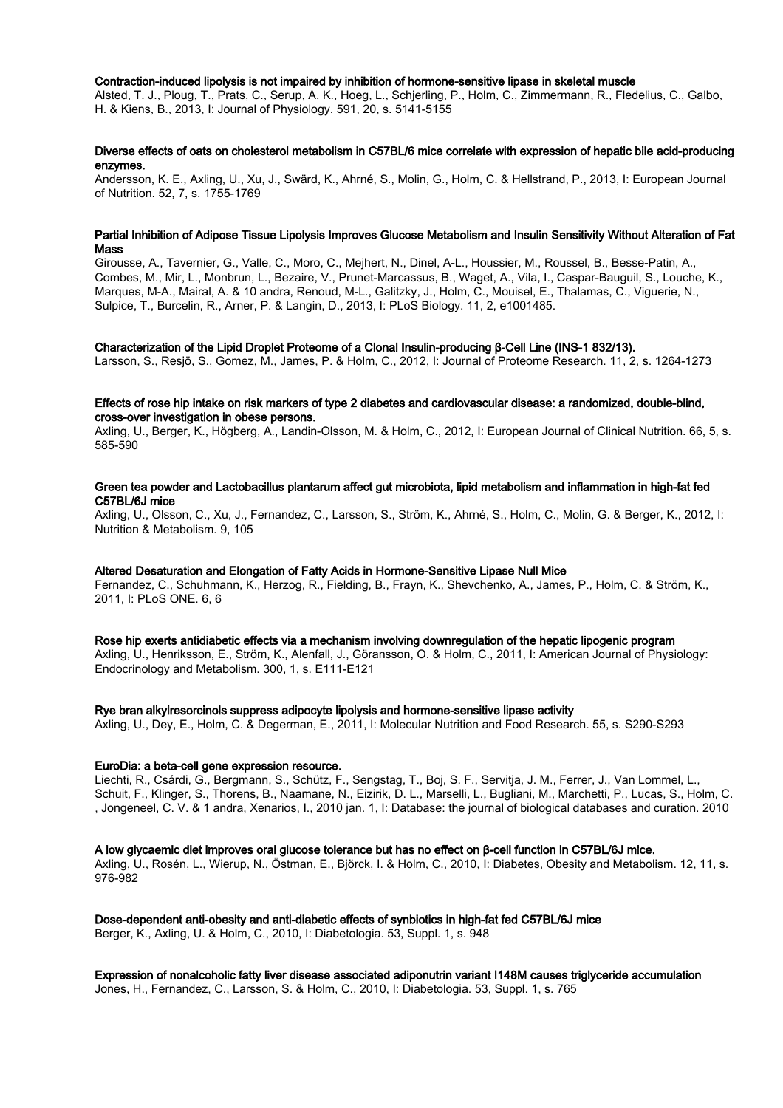#### Contraction-induced lipolysis is not impaired by inhibition of hormone-sensitive lipase in skeletal muscle

Alsted, T. J., Ploug, T., Prats, C., Serup, A. K., Hoeg, L., Schjerling, P., Holm, C., Zimmermann, R., Fledelius, C., Galbo, H. & Kiens, B., 2013, I: Journal of Physiology. 591, 20, s. 5141-5155

### Diverse effects of oats on cholesterol metabolism in C57BL/6 mice correlate with expression of hepatic bile acid-producing enzymes.

Andersson, K. E., Axling, U., Xu, J., Swärd, K., Ahrné, S., Molin, G., Holm, C. & Hellstrand, P., 2013, I: European Journal of Nutrition. 52, 7, s. 1755-1769

#### Partial Inhibition of Adipose Tissue Lipolysis Improves Glucose Metabolism and Insulin Sensitivity Without Alteration of Fat Mass

Girousse, A., Tavernier, G., Valle, C., Moro, C., Mejhert, N., Dinel, A-L., Houssier, M., Roussel, B., Besse-Patin, A., Combes, M., Mir, L., Monbrun, L., Bezaire, V., Prunet-Marcassus, B., Waget, A., Vila, I., Caspar-Bauguil, S., Louche, K., Marques, M-A., Mairal, A. & 10 andra, Renoud, M-L., Galitzky, J., Holm, C., Mouisel, E., Thalamas, C., Viguerie, N., Sulpice, T., Burcelin, R., Arner, P. & Langin, D., 2013, I: PLoS Biology. 11, 2, e1001485.

#### Characterization of the Lipid Droplet Proteome of a Clonal Insulin-producing β-Cell Line (INS-1 832/13).

Larsson, S., Resjö, S., Gomez, M., James, P. & Holm, C., 2012, I: Journal of Proteome Research. 11, 2, s. 1264-1273

# Effects of rose hip intake on risk markers of type 2 diabetes and cardiovascular disease: a randomized, double-blind, cross-over investigation in obese persons.

Axling, U., Berger, K., Högberg, A., Landin-Olsson, M. & Holm, C., 2012, I: European Journal of Clinical Nutrition. 66, 5, s. 585-590

#### Green tea powder and Lactobacillus plantarum affect gut microbiota, lipid metabolism and inflammation in high-fat fed C57BL/6J mice

Axling, U., Olsson, C., Xu, J., Fernandez, C., Larsson, S., Ström, K., Ahrné, S., Holm, C., Molin, G. & Berger, K., 2012, I: Nutrition & Metabolism. 9, 105

#### Altered Desaturation and Elongation of Fatty Acids in Hormone-Sensitive Lipase Null Mice

Fernandez, C., Schuhmann, K., Herzog, R., Fielding, B., Frayn, K., Shevchenko, A., James, P., Holm, C. & Ström, K., 2011, I: PLoS ONE. 6, 6

Rose hip exerts antidiabetic effects via a mechanism involving downregulation of the hepatic lipogenic program

Axling, U., Henriksson, E., Ström, K., Alenfall, J., Göransson, O. & Holm, C., 2011, I: American Journal of Physiology: Endocrinology and Metabolism. 300, 1, s. E111-E121

#### Rye bran alkylresorcinols suppress adipocyte lipolysis and hormone-sensitive lipase activity

Axling, U., Dey, E., Holm, C. & Degerman, E., 2011, I: Molecular Nutrition and Food Research. 55, s. S290-S293

#### EuroDia: a beta-cell gene expression resource.

Liechti, R., Csárdi, G., Bergmann, S., Schütz, F., Sengstag, T., Boj, S. F., Servitja, J. M., Ferrer, J., Van Lommel, L., Schuit, F., Klinger, S., Thorens, B., Naamane, N., Eizirik, D. L., Marselli, L., Bugliani, M., Marchetti, P., Lucas, S., Holm, C. , Jongeneel, C. V. & 1 andra, Xenarios, I., 2010 jan. 1, I: Database: the journal of biological databases and curation. 2010

#### A low glycaemic diet improves oral glucose tolerance but has no effect on β-cell function in C57BL/6J mice.

Axling, U., Rosén, L., Wierup, N., Östman, E., Björck, I. & Holm, C., 2010, I: Diabetes, Obesity and Metabolism. 12, 11, s. 976-982

# Dose-dependent anti-obesity and anti-diabetic effects of synbiotics in high-fat fed C57BL/6J mice

Berger, K., Axling, U. & Holm, C., 2010, I: Diabetologia. 53, Suppl. 1, s. 948

Expression of nonalcoholic fatty liver disease associated adiponutrin variant I148M causes triglyceride accumulation Jones, H., Fernandez, C., Larsson, S. & Holm, C., 2010, I: Diabetologia. 53, Suppl. 1, s. 765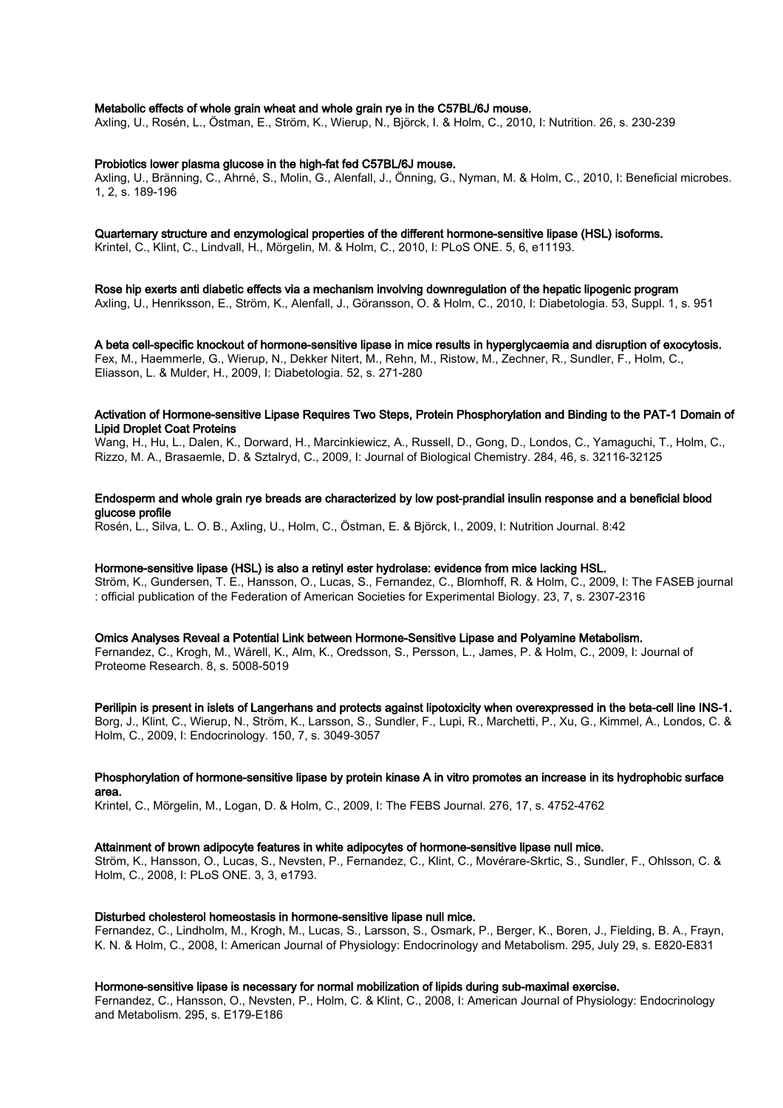## Metabolic effects of whole grain wheat and whole grain rye in the C57BL/6J mouse.

Axling, U., Rosén, L., Östman, E., Ström, K., Wierup, N., Björck, I. & Holm, C., 2010, I: Nutrition. 26, s. 230-239

#### Probiotics lower plasma glucose in the high-fat fed C57BL/6J mouse.

Axling, U., Bränning, C., Ahrné, S., Molin, G., Alenfall, J., Önning, G., Nyman, M. & Holm, C., 2010, I: Beneficial microbes. 1, 2, s. 189-196

# Quarternary structure and enzymological properties of the different hormone-sensitive lipase (HSL) isoforms.

Krintel, C., Klint, C., Lindvall, H., Mörgelin, M. & Holm, C., 2010, I: PLoS ONE. 5, 6, e11193.

Rose hip exerts anti diabetic effects via a mechanism involving downregulation of the hepatic lipogenic program Axling, U., Henriksson, E., Ström, K., Alenfall, J., Göransson, O. & Holm, C., 2010, I: Diabetologia. 53, Suppl. 1, s. 951

A beta cell-specific knockout of hormone-sensitive lipase in mice results in hyperglycaemia and disruption of exocytosis. Fex, M., Haemmerle, G., Wierup, N., Dekker Nitert, M., Rehn, M., Ristow, M., Zechner, R., Sundler, F., Holm, C., Eliasson, L. & Mulder, H., 2009, I: Diabetologia. 52, s. 271-280

#### Activation of Hormone-sensitive Lipase Requires Two Steps, Protein Phosphorylation and Binding to the PAT-1 Domain of Lipid Droplet Coat Proteins

Wang, H., Hu, L., Dalen, K., Dorward, H., Marcinkiewicz, A., Russell, D., Gong, D., Londos, C., Yamaguchi, T., Holm, C., Rizzo, M. A., Brasaemle, D. & Sztalryd, C., 2009, I: Journal of Biological Chemistry. 284, 46, s. 32116-32125

# Endosperm and whole grain rye breads are characterized by low post-prandial insulin response and a beneficial blood glucose profile

Rosén, L., Silva, L. O. B., Axling, U., Holm, C., Östman, E. & Björck, I., 2009, I: Nutrition Journal. 8:42

# Hormone-sensitive lipase (HSL) is also a retinyl ester hydrolase: evidence from mice lacking HSL.

Ström, K., Gundersen, T. E., Hansson, O., Lucas, S., Fernandez, C., Blomhoff, R. & Holm, C., 2009, I: The FASEB journal : official publication of the Federation of American Societies for Experimental Biology. 23, 7, s. 2307-2316

Omics Analyses Reveal a Potential Link between Hormone-Sensitive Lipase and Polyamine Metabolism. Fernandez, C., Krogh, M., Wårell, K., Alm, K., Oredsson, S., Persson, L., James, P. & Holm, C., 2009, I: Journal of Proteome Research. 8, s. 5008-5019

#### Perilipin is present in islets of Langerhans and protects against lipotoxicity when overexpressed in the beta-cell line INS-1.

Borg, J., Klint, C., Wierup, N., Ström, K., Larsson, S., Sundler, F., Lupi, R., Marchetti, P., Xu, G., Kimmel, A., Londos, C. & Holm, C., 2009, I: Endocrinology. 150, 7, s. 3049-3057

#### Phosphorylation of hormone-sensitive lipase by protein kinase A in vitro promotes an increase in its hydrophobic surface area.

Krintel, C., Mörgelin, M., Logan, D. & Holm, C., 2009, I: The FEBS Journal. 276, 17, s. 4752-4762

#### Attainment of brown adipocyte features in white adipocytes of hormone-sensitive lipase null mice.

Ström, K., Hansson, O., Lucas, S., Nevsten, P., Fernandez, C., Klint, C., Movérare-Skrtic, S., Sundler, F., Ohlsson, C. & Holm, C., 2008, I: PLoS ONE. 3, 3, e1793.

#### Disturbed cholesterol homeostasis in hormone-sensitive lipase null mice.

Fernandez, C., Lindholm, M., Krogh, M., Lucas, S., Larsson, S., Osmark, P., Berger, K., Boren, J., Fielding, B. A., Frayn, K. N. & Holm, C., 2008, I: American Journal of Physiology: Endocrinology and Metabolism. 295, July 29, s. E820-E831

#### Hormone-sensitive lipase is necessary for normal mobilization of lipids during sub-maximal exercise.

Fernandez, C., Hansson, O., Nevsten, P., Holm, C. & Klint, C., 2008, I: American Journal of Physiology: Endocrinology and Metabolism. 295, s. E179-E186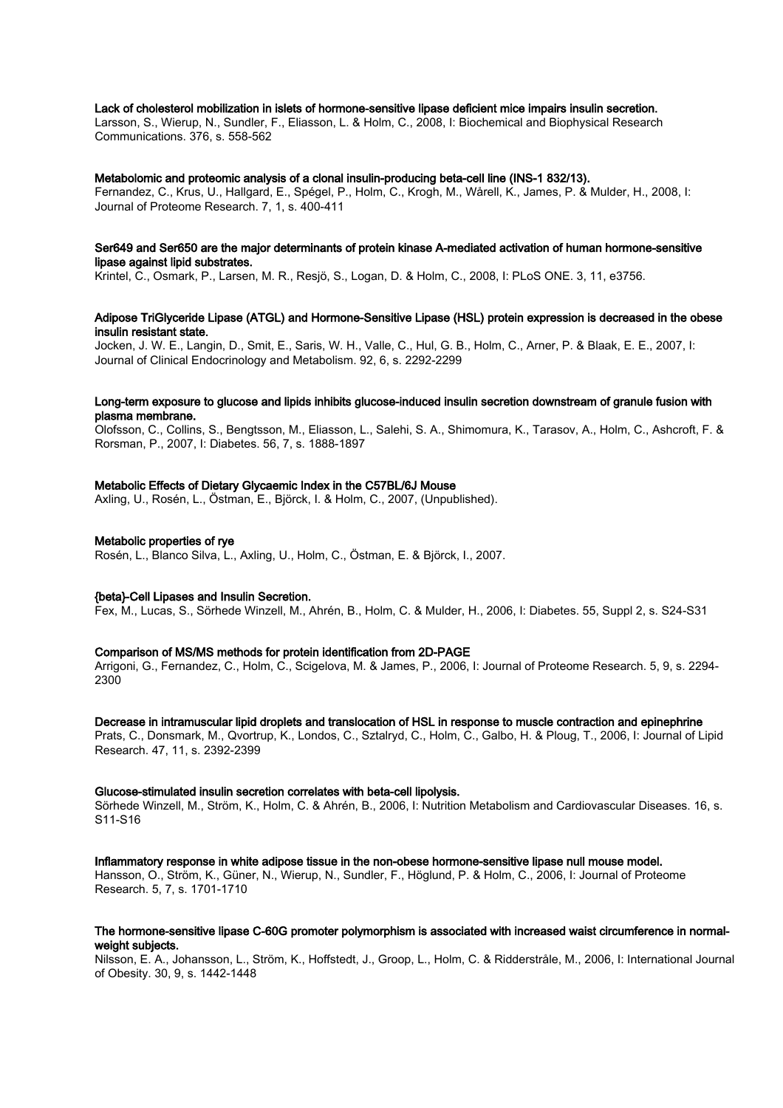#### Lack of cholesterol mobilization in islets of hormone-sensitive lipase deficient mice impairs insulin secretion.

Larsson, S., Wierup, N., Sundler, F., Eliasson, L. & Holm, C., 2008, I: Biochemical and Biophysical Research Communications. 376, s. 558-562

#### Metabolomic and proteomic analysis of a clonal insulin-producing beta-cell line (INS-1 832/13).

Fernandez, C., Krus, U., Hallgard, E., Spégel, P., Holm, C., Krogh, M., Wårell, K., James, P. & Mulder, H., 2008, I: Journal of Proteome Research. 7, 1, s. 400-411

## Ser649 and Ser650 are the major determinants of protein kinase A-mediated activation of human hormone-sensitive lipase against lipid substrates.

Krintel, C., Osmark, P., Larsen, M. R., Resjö, S., Logan, D. & Holm, C., 2008, I: PLoS ONE. 3, 11, e3756.

#### Adipose TriGlyceride Lipase (ATGL) and Hormone-Sensitive Lipase (HSL) protein expression is decreased in the obese insulin resistant state.

Jocken, J. W. E., Langin, D., Smit, E., Saris, W. H., Valle, C., Hul, G. B., Holm, C., Arner, P. & Blaak, E. E., 2007, I: Journal of Clinical Endocrinology and Metabolism. 92, 6, s. 2292-2299

## Long-term exposure to glucose and lipids inhibits glucose-induced insulin secretion downstream of granule fusion with plasma membrane.

Olofsson, C., Collins, S., Bengtsson, M., Eliasson, L., Salehi, S. A., Shimomura, K., Tarasov, A., Holm, C., Ashcroft, F. & Rorsman, P., 2007, I: Diabetes. 56, 7, s. 1888-1897

# Metabolic Effects of Dietary Glycaemic Index in the C57BL/6J Mouse

Axling, U., Rosén, L., Östman, E., Björck, I. & Holm, C., 2007, (Unpublished).

# Metabolic properties of rye

Rosén, L., Blanco Silva, L., Axling, U., Holm, C., Östman, E. & Björck, I., 2007.

#### {beta}-Cell Lipases and Insulin Secretion.

Fex, M., Lucas, S., Sörhede Winzell, M., Ahrén, B., Holm, C. & Mulder, H., 2006, I: Diabetes. 55, Suppl 2, s. S24-S31

#### Comparison of MS/MS methods for protein identification from 2D-PAGE

Arrigoni, G., Fernandez, C., Holm, C., Scigelova, M. & James, P., 2006, I: Journal of Proteome Research. 5, 9, s. 2294- 2300

## Decrease in intramuscular lipid droplets and translocation of HSL in response to muscle contraction and epinephrine

Prats, C., Donsmark, M., Qvortrup, K., Londos, C., Sztalryd, C., Holm, C., Galbo, H. & Ploug, T., 2006, I: Journal of Lipid Research. 47, 11, s. 2392-2399

#### Glucose-stimulated insulin secretion correlates with beta-cell lipolysis.

Sörhede Winzell, M., Ström, K., Holm, C. & Ahrén, B., 2006, I: Nutrition Metabolism and Cardiovascular Diseases. 16, s. S11-S16

#### Inflammatory response in white adipose tissue in the non-obese hormone-sensitive lipase null mouse model.

Hansson, O., Ström, K., Güner, N., Wierup, N., Sundler, F., Höglund, P. & Holm, C., 2006, I: Journal of Proteome Research. 5, 7, s. 1701-1710

# The hormone-sensitive lipase C-60G promoter polymorphism is associated with increased waist circumference in normalweight subjects.

Nilsson, E. A., Johansson, L., Ström, K., Hoffstedt, J., Groop, L., Holm, C. & Ridderstråle, M., 2006, I: International Journal of Obesity. 30, 9, s. 1442-1448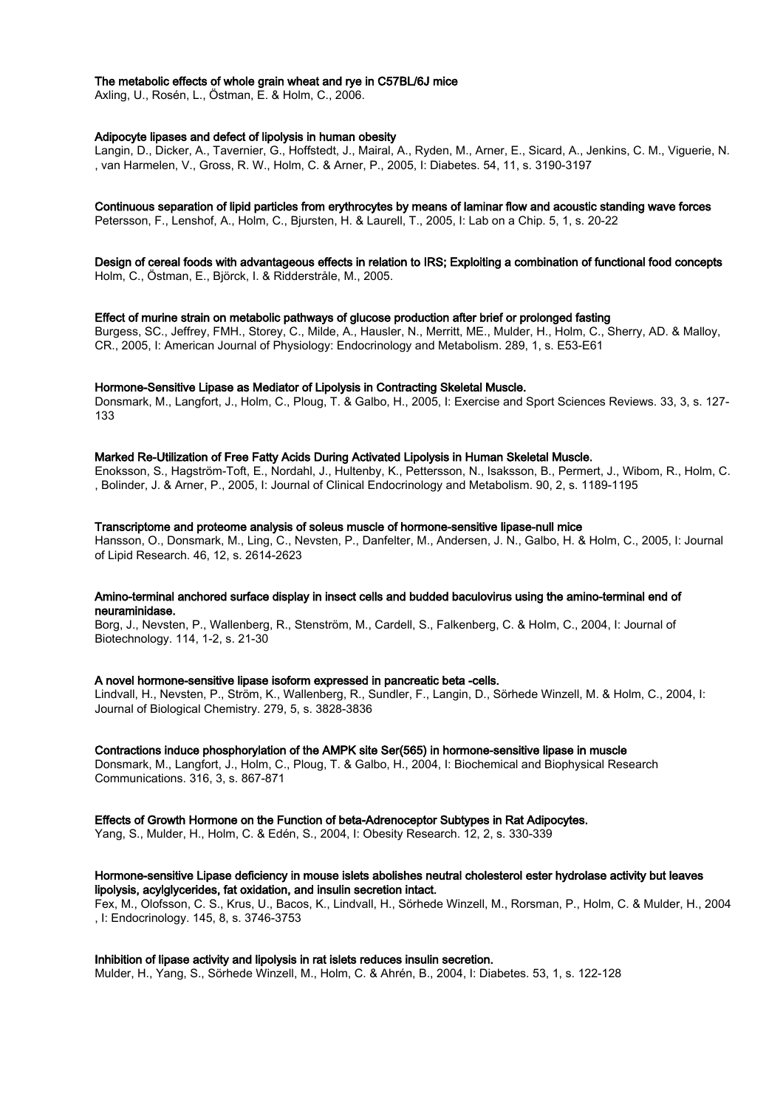## The metabolic effects of whole grain wheat and rye in C57BL/6J mice

Axling, U., Rosén, L., Östman, E. & Holm, C., 2006.

### Adipocyte lipases and defect of lipolysis in human obesity

Langin, D., Dicker, A., Tavernier, G., Hoffstedt, J., Mairal, A., Ryden, M., Arner, E., Sicard, A., Jenkins, C. M., Viguerie, N. , van Harmelen, V., Gross, R. W., Holm, C. & Arner, P., 2005, I: Diabetes. 54, 11, s. 3190-3197

## Continuous separation of lipid particles from erythrocytes by means of laminar flow and acoustic standing wave forces

Petersson, F., Lenshof, A., Holm, C., Bjursten, H. & Laurell, T., 2005, I: Lab on a Chip. 5, 1, s. 20-22

Design of cereal foods with advantageous effects in relation to IRS; Exploiting a combination of functional food concepts Holm, C., Östman, E., Björck, I. & Ridderstråle, M., 2005.

#### Effect of murine strain on metabolic pathways of glucose production after brief or prolonged fasting

Burgess, SC., Jeffrey, FMH., Storey, C., Milde, A., Hausler, N., Merritt, ME., Mulder, H., Holm, C., Sherry, AD. & Malloy, CR., 2005, I: American Journal of Physiology: Endocrinology and Metabolism. 289, 1, s. E53-E61

#### Hormone-Sensitive Lipase as Mediator of Lipolysis in Contracting Skeletal Muscle.

Donsmark, M., Langfort, J., Holm, C., Ploug, T. & Galbo, H., 2005, I: Exercise and Sport Sciences Reviews. 33, 3, s. 127- 133

#### Marked Re-Utilization of Free Fatty Acids During Activated Lipolysis in Human Skeletal Muscle.

Enoksson, S., Hagström-Toft, E., Nordahl, J., Hultenby, K., Pettersson, N., Isaksson, B., Permert, J., Wibom, R., Holm, C. , Bolinder, J. & Arner, P., 2005, I: Journal of Clinical Endocrinology and Metabolism. 90, 2, s. 1189-1195

#### Transcriptome and proteome analysis of soleus muscle of hormone-sensitive lipase-null mice

Hansson, O., Donsmark, M., Ling, C., Nevsten, P., Danfelter, M., Andersen, J. N., Galbo, H. & Holm, C., 2005, I: Journal of Lipid Research. 46, 12, s. 2614-2623

# Amino-terminal anchored surface display in insect cells and budded baculovirus using the amino-terminal end of neuraminidase.

Borg, J., Nevsten, P., Wallenberg, R., Stenström, M., Cardell, S., Falkenberg, C. & Holm, C., 2004, I: Journal of Biotechnology. 114, 1-2, s. 21-30

#### A novel hormone-sensitive lipase isoform expressed in pancreatic beta -cells.

Lindvall, H., Nevsten, P., Ström, K., Wallenberg, R., Sundler, F., Langin, D., Sörhede Winzell, M. & Holm, C., 2004, I: Journal of Biological Chemistry. 279, 5, s. 3828-3836

# Contractions induce phosphorylation of the AMPK site Ser(565) in hormone-sensitive lipase in muscle

Donsmark, M., Langfort, J., Holm, C., Ploug, T. & Galbo, H., 2004, I: Biochemical and Biophysical Research Communications. 316, 3, s. 867-871

Effects of Growth Hormone on the Function of beta-Adrenoceptor Subtypes in Rat Adipocytes.

Yang, S., Mulder, H., Holm, C. & Edén, S., 2004, I: Obesity Research. 12, 2, s. 330-339

# Hormone-sensitive Lipase deficiency in mouse islets abolishes neutral cholesterol ester hydrolase activity but leaves lipolysis, acylglycerides, fat oxidation, and insulin secretion intact.

Fex, M., Olofsson, C. S., Krus, U., Bacos, K., Lindvall, H., Sörhede Winzell, M., Rorsman, P., Holm, C. & Mulder, H., 2004 , I: Endocrinology. 145, 8, s. 3746-3753

# Inhibition of lipase activity and lipolysis in rat islets reduces insulin secretion.

Mulder, H., Yang, S., Sörhede Winzell, M., Holm, C. & Ahrén, B., 2004, I: Diabetes. 53, 1, s. 122-128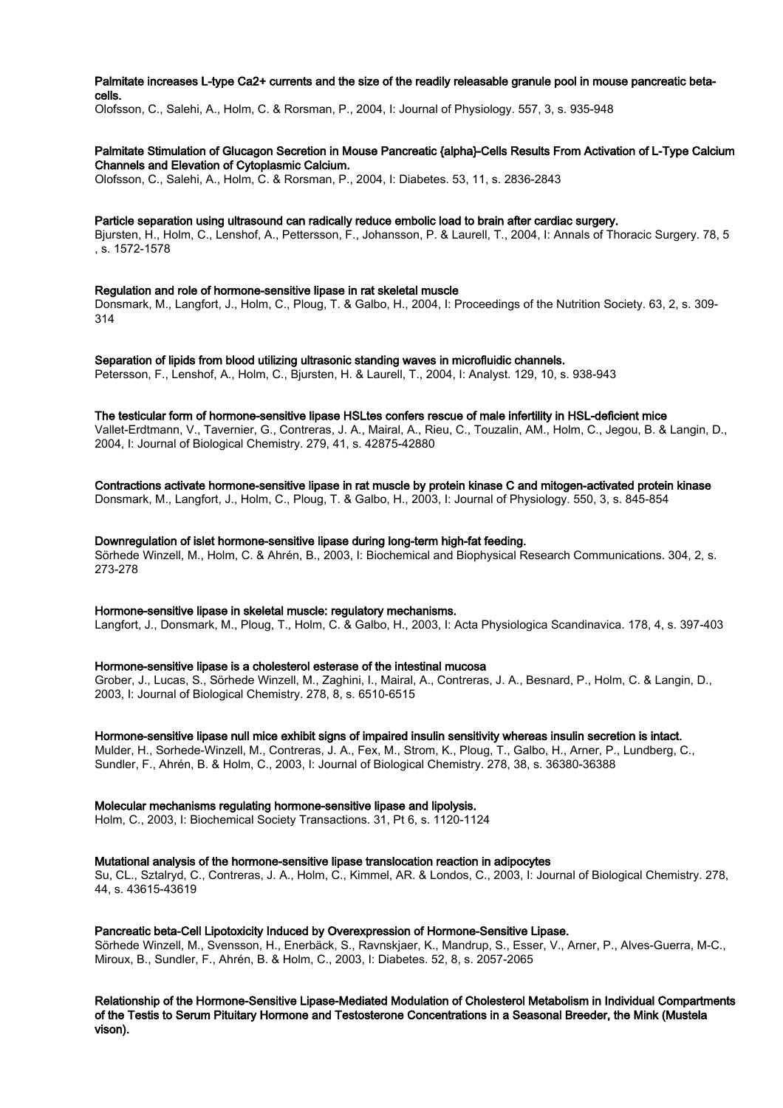# Palmitate increases L-type Ca2+ currents and the size of the readily releasable granule pool in mouse pancreatic betacells.

Olofsson, C., Salehi, A., Holm, C. & Rorsman, P., 2004, I: Journal of Physiology. 557, 3, s. 935-948

# Palmitate Stimulation of Glucagon Secretion in Mouse Pancreatic {alpha}-Cells Results From Activation of L-Type Calcium Channels and Elevation of Cytoplasmic Calcium.

Olofsson, C., Salehi, A., Holm, C. & Rorsman, P., 2004, I: Diabetes. 53, 11, s. 2836-2843

## Particle separation using ultrasound can radically reduce embolic load to brain after cardiac surgery.

Bjursten, H., Holm, C., Lenshof, A., Pettersson, F., Johansson, P. & Laurell, T., 2004, I: Annals of Thoracic Surgery. 78, 5 , s. 1572-1578

# Regulation and role of hormone-sensitive lipase in rat skeletal muscle

Donsmark, M., Langfort, J., Holm, C., Ploug, T. & Galbo, H., 2004, I: Proceedings of the Nutrition Society. 63, 2, s. 309- 314

#### Separation of lipids from blood utilizing ultrasonic standing waves in microfluidic channels.

Petersson, F., Lenshof, A., Holm, C., Bjursten, H. & Laurell, T., 2004, I: Analyst. 129, 10, s. 938-943

# The testicular form of hormone-sensitive lipase HSLtes confers rescue of male infertility in HSL-deficient mice

Vallet-Erdtmann, V., Tavernier, G., Contreras, J. A., Mairal, A., Rieu, C., Touzalin, AM., Holm, C., Jegou, B. & Langin, D., 2004, I: Journal of Biological Chemistry. 279, 41, s. 42875-42880

# Contractions activate hormone-sensitive lipase in rat muscle by protein kinase C and mitogen-activated protein kinase

Donsmark, M., Langfort, J., Holm, C., Ploug, T. & Galbo, H., 2003, I: Journal of Physiology. 550, 3, s. 845-854

#### Downregulation of islet hormone-sensitive lipase during long-term high-fat feeding.

Sörhede Winzell, M., Holm, C. & Ahrén, B., 2003, I: Biochemical and Biophysical Research Communications. 304, 2, s. 273-278

# Hormone-sensitive lipase in skeletal muscle: regulatory mechanisms.

Langfort, J., Donsmark, M., Ploug, T., Holm, C. & Galbo, H., 2003, I: Acta Physiologica Scandinavica. 178, 4, s. 397-403

#### Hormone-sensitive lipase is a cholesterol esterase of the intestinal mucosa

Grober, J., Lucas, S., Sörhede Winzell, M., Zaghini, I., Mairal, A., Contreras, J. A., Besnard, P., Holm, C. & Langin, D., 2003, I: Journal of Biological Chemistry. 278, 8, s. 6510-6515

# Hormone-sensitive lipase null mice exhibit signs of impaired insulin sensitivity whereas insulin secretion is intact.

Mulder, H., Sorhede-Winzell, M., Contreras, J. A., Fex, M., Strom, K., Ploug, T., Galbo, H., Arner, P., Lundberg, C., Sundler, F., Ahrén, B. & Holm, C., 2003, I: Journal of Biological Chemistry. 278, 38, s. 36380-36388

# Molecular mechanisms regulating hormone-sensitive lipase and lipolysis.

Holm, C., 2003, I: Biochemical Society Transactions. 31, Pt 6, s. 1120-1124

# Mutational analysis of the hormone-sensitive lipase translocation reaction in adipocytes

Su, CL., Sztalryd, C., Contreras, J. A., Holm, C., Kimmel, AR. & Londos, C., 2003, I: Journal of Biological Chemistry. 278, 44, s. 43615-43619

# Pancreatic beta-Cell Lipotoxicity Induced by Overexpression of Hormone-Sensitive Lipase.

Sörhede Winzell, M., Svensson, H., Enerbäck, S., Ravnskjaer, K., Mandrup, S., Esser, V., Arner, P., Alves-Guerra, M-C., Miroux, B., Sundler, F., Ahrén, B. & Holm, C., 2003, I: Diabetes. 52, 8, s. 2057-2065

# Relationship of the Hormone-Sensitive Lipase-Mediated Modulation of Cholesterol Metabolism in Individual Compartments of the Testis to Serum Pituitary Hormone and Testosterone Concentrations in a Seasonal Breeder, the Mink (Mustela vison).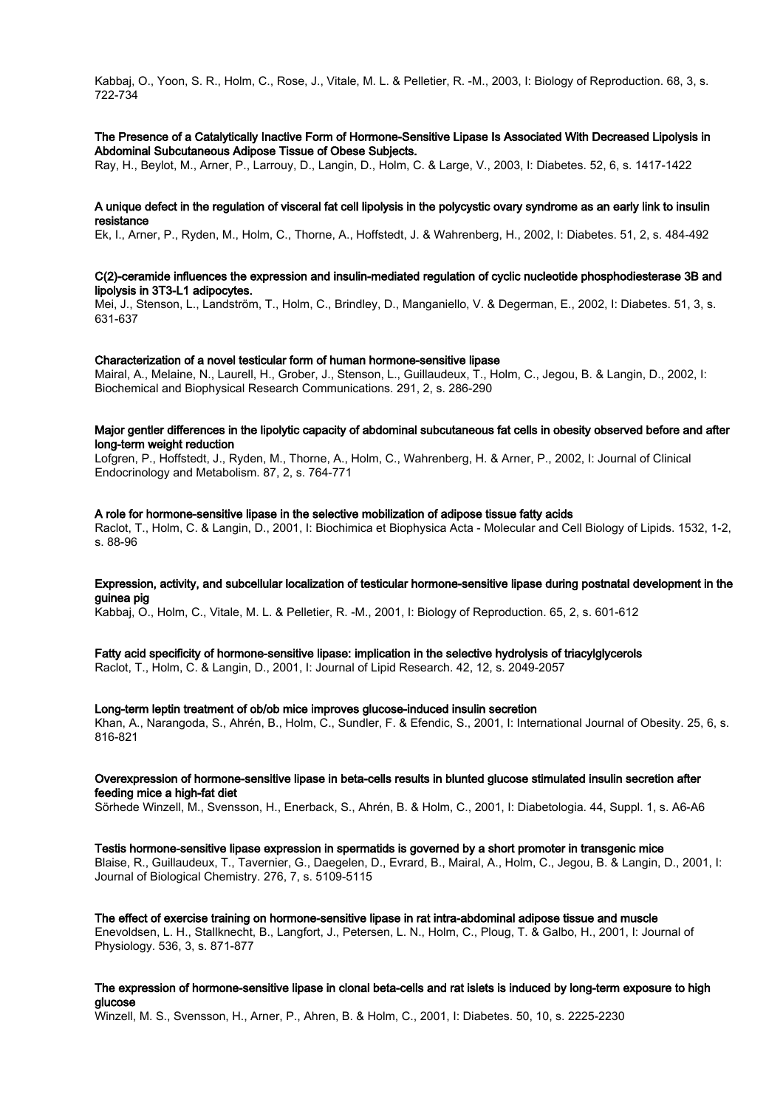Kabbaj, O., Yoon, S. R., Holm, C., Rose, J., Vitale, M. L. & Pelletier, R. -M., 2003, I: Biology of Reproduction. 68, 3, s. 722-734

# The Presence of a Catalytically Inactive Form of Hormone-Sensitive Lipase Is Associated With Decreased Lipolysis in Abdominal Subcutaneous Adipose Tissue of Obese Subjects.

Ray, H., Beylot, M., Arner, P., Larrouy, D., Langin, D., Holm, C. & Large, V., 2003, I: Diabetes. 52, 6, s. 1417-1422

## A unique defect in the regulation of visceral fat cell lipolysis in the polycystic ovary syndrome as an early link to insulin resistance

Ek, I., Arner, P., Ryden, M., Holm, C., Thorne, A., Hoffstedt, J. & Wahrenberg, H., 2002, I: Diabetes. 51, 2, s. 484-492

#### C(2)-ceramide influences the expression and insulin-mediated regulation of cyclic nucleotide phosphodiesterase 3B and lipolysis in 3T3-L1 adipocytes.

Mei, J., Stenson, L., Landström, T., Holm, C., Brindley, D., Manganiello, V. & Degerman, E., 2002, I: Diabetes. 51, 3, s. 631-637

# Characterization of a novel testicular form of human hormone-sensitive lipase

Mairal, A., Melaine, N., Laurell, H., Grober, J., Stenson, L., Guillaudeux, T., Holm, C., Jegou, B. & Langin, D., 2002, I: Biochemical and Biophysical Research Communications. 291, 2, s. 286-290

#### Major gentler differences in the lipolytic capacity of abdominal subcutaneous fat cells in obesity observed before and after long-term weight reduction

Lofgren, P., Hoffstedt, J., Ryden, M., Thorne, A., Holm, C., Wahrenberg, H. & Arner, P., 2002, I: Journal of Clinical Endocrinology and Metabolism. 87, 2, s. 764-771

## A role for hormone-sensitive lipase in the selective mobilization of adipose tissue fatty acids

Raclot, T., Holm, C. & Langin, D., 2001, I: Biochimica et Biophysica Acta - Molecular and Cell Biology of Lipids. 1532, 1-2, s. 88-96

# Expression, activity, and subcellular localization of testicular hormone-sensitive lipase during postnatal development in the guinea pig

Kabbaj, O., Holm, C., Vitale, M. L. & Pelletier, R. -M., 2001, I: Biology of Reproduction. 65, 2, s. 601-612

# Fatty acid specificity of hormone-sensitive lipase: implication in the selective hydrolysis of triacylglycerols

Raclot, T., Holm, C. & Langin, D., 2001, I: Journal of Lipid Research. 42, 12, s. 2049-2057

#### Long-term leptin treatment of ob/ob mice improves glucose-induced insulin secretion

Khan, A., Narangoda, S., Ahrén, B., Holm, C., Sundler, F. & Efendic, S., 2001, I: International Journal of Obesity. 25, 6, s. 816-821

#### Overexpression of hormone-sensitive lipase in beta-cells results in blunted glucose stimulated insulin secretion after feeding mice a high-fat diet

Sörhede Winzell, M., Svensson, H., Enerback, S., Ahrén, B. & Holm, C., 2001, I: Diabetologia. 44, Suppl. 1, s. A6-A6

Testis hormone-sensitive lipase expression in spermatids is governed by a short promoter in transgenic mice Blaise, R., Guillaudeux, T., Tavernier, G., Daegelen, D., Evrard, B., Mairal, A., Holm, C., Jegou, B. & Langin, D., 2001, I: Journal of Biological Chemistry. 276, 7, s. 5109-5115

The effect of exercise training on hormone-sensitive lipase in rat intra-abdominal adipose tissue and muscle Enevoldsen, L. H., Stallknecht, B., Langfort, J., Petersen, L. N., Holm, C., Ploug, T. & Galbo, H., 2001, I: Journal of Physiology. 536, 3, s. 871-877

# The expression of hormone-sensitive lipase in clonal beta-cells and rat islets is induced by long-term exposure to high glucose

Winzell, M. S., Svensson, H., Arner, P., Ahren, B. & Holm, C., 2001, I: Diabetes. 50, 10, s. 2225-2230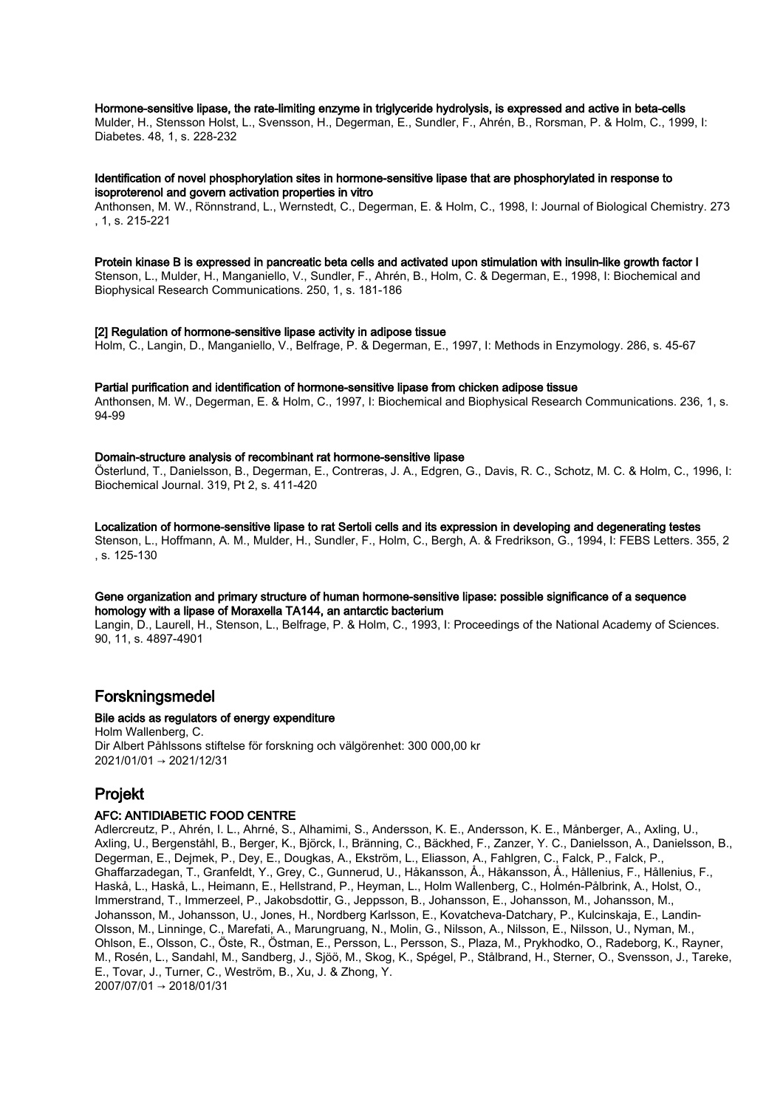## Hormone-sensitive lipase, the rate-limiting enzyme in triglyceride hydrolysis, is expressed and active in beta-cells

Mulder, H., Stensson Holst, L., Svensson, H., Degerman, E., Sundler, F., Ahrén, B., Rorsman, P. & Holm, C., 1999, I: Diabetes. 48, 1, s. 228-232

#### Identification of novel phosphorylation sites in hormone-sensitive lipase that are phosphorylated in response to isoproterenol and govern activation properties in vitro

Anthonsen, M. W., Rönnstrand, L., Wernstedt, C., Degerman, E. & Holm, C., 1998, I: Journal of Biological Chemistry. 273 , 1, s. 215-221

#### Protein kinase B is expressed in pancreatic beta cells and activated upon stimulation with insulin-like growth factor I Stenson, L., Mulder, H., Manganiello, V., Sundler, F., Ahrén, B., Holm, C. & Degerman, E., 1998, I: Biochemical and Biophysical Research Communications. 250, 1, s. 181-186

#### [2] Regulation of hormone-sensitive lipase activity in adipose tissue

Holm, C., Langin, D., Manganiello, V., Belfrage, P. & Degerman, E., 1997, I: Methods in Enzymology. 286, s. 45-67

## Partial purification and identification of hormone-sensitive lipase from chicken adipose tissue

Anthonsen, M. W., Degerman, E. & Holm, C., 1997, I: Biochemical and Biophysical Research Communications. 236, 1, s. 94-99

#### Domain-structure analysis of recombinant rat hormone-sensitive lipase

Österlund, T., Danielsson, B., Degerman, E., Contreras, J. A., Edgren, G., Davis, R. C., Schotz, M. C. & Holm, C., 1996, I: Biochemical Journal. 319, Pt 2, s. 411-420

Localization of hormone-sensitive lipase to rat Sertoli cells and its expression in developing and degenerating testes Stenson, L., Hoffmann, A. M., Mulder, H., Sundler, F., Holm, C., Bergh, A. & Fredrikson, G., 1994, I: FEBS Letters. 355, 2 , s. 125-130

## Gene organization and primary structure of human hormone-sensitive lipase: possible significance of a sequence homology with a lipase of Moraxella TA144, an antarctic bacterium

Langin, D., Laurell, H., Stenson, L., Belfrage, P. & Holm, C., 1993, I: Proceedings of the National Academy of Sciences. 90, 11, s. 4897-4901

# Forskningsmedel

# Bile acids as regulators of energy expenditure

Holm Wallenberg, C. Dir Albert Påhlssons stiftelse för forskning och välgörenhet: 300 000,00 kr 2021/01/01 → 2021/12/31

# Projekt

# AFC: ANTIDIABETIC FOOD CENTRE

Adlercreutz, P., Ahrén, I. L., Ahrné, S., Alhamimi, S., Andersson, K. E., Andersson, K. E., Månberger, A., Axling, U., Axling, U., Bergenståhl, B., Berger, K., Björck, I., Bränning, C., Bäckhed, F., Zanzer, Y. C., Danielsson, A., Danielsson, B., Degerman, E., Dejmek, P., Dey, E., Dougkas, A., Ekström, L., Eliasson, A., Fahlgren, C., Falck, P., Falck, P., Ghaffarzadegan, T., Granfeldt, Y., Grey, C., Gunnerud, U., Håkansson, Å., Håkansson, Å., Hållenius, F., Hållenius, F., Haskå, L., Haskå, L., Heimann, E., Hellstrand, P., Heyman, L., Holm Wallenberg, C., Holmén-Pålbrink, A., Holst, O., Immerstrand, T., Immerzeel, P., Jakobsdottir, G., Jeppsson, B., Johansson, E., Johansson, M., Johansson, M., Johansson, M., Johansson, U., Jones, H., Nordberg Karlsson, E., Kovatcheva-Datchary, P., Kulcinskaja, E., Landin-Olsson, M., Linninge, C., Marefati, A., Marungruang, N., Molin, G., Nilsson, A., Nilsson, E., Nilsson, U., Nyman, M., Ohlson, E., Olsson, C., Öste, R., Östman, E., Persson, L., Persson, S., Plaza, M., Prykhodko, O., Radeborg, K., Rayner, M., Rosén, L., Sandahl, M., Sandberg, J., Sjöö, M., Skog, K., Spégel, P., Stålbrand, H., Sterner, O., Svensson, J., Tareke, E., Tovar, J., Turner, C., Weström, B., Xu, J. & Zhong, Y. 2007/07/01 → 2018/01/31